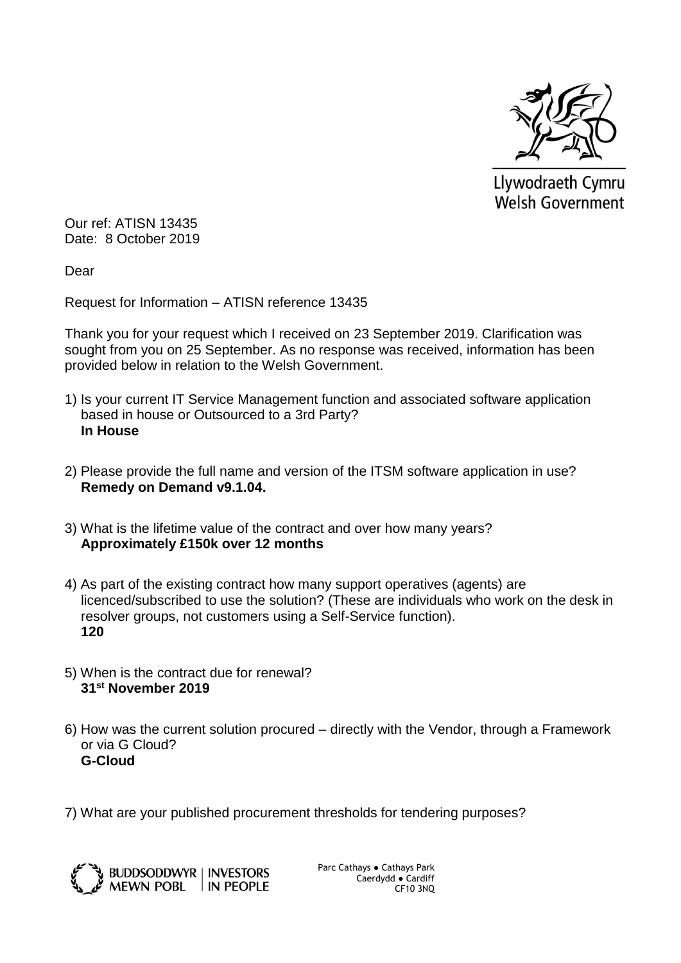

Llywodraeth Cymru **Welsh Government** 

Our ref: ATISN 13435 Date: 8 October 2019

Dear

Request for Information – ATISN reference 13435

Thank you for your request which I received on 23 September 2019. Clarification was sought from you on 25 September. As no response was received, information has been provided below in relation to the Welsh Government.

- 1) Is your current IT Service Management function and associated software application based in house or Outsourced to a 3rd Party? **In House**
- 2) Please provide the full name and version of the ITSM software application in use? **Remedy on Demand v9.1.04.**
- 3) What is the lifetime value of the contract and over how many years? **Approximately £150k over 12 months**
- 4) As part of the existing contract how many support operatives (agents) are licenced/subscribed to use the solution? (These are individuals who work on the desk in resolver groups, not customers using a Self-Service function). **120**
- 5) When is the contract due for renewal? **31st November 2019**
- 6) How was the current solution procured directly with the Vendor, through a Framework or via G Cloud? **G-Cloud**
- 7) What are your published procurement thresholds for tendering purposes?



Parc Cathays ● Cathays Park Caerdydd ● Cardiff CF10 3NQ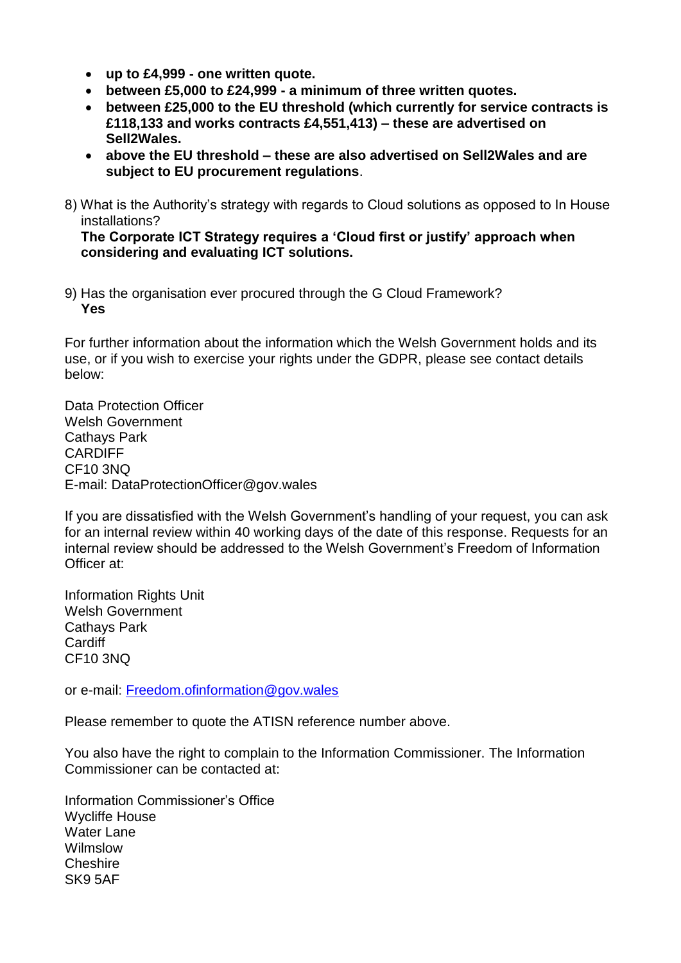- **up to £4,999 - one written quote.**
- **between £5,000 to £24,999 - a minimum of three written quotes.**
- **between £25,000 to the EU threshold (which currently for service contracts is £118,133 and works contracts £4,551,413) – these are advertised on Sell2Wales.**
- **above the EU threshold – these are also advertised on Sell2Wales and are subject to EU procurement regulations**.
- 8) What is the Authority's strategy with regards to Cloud solutions as opposed to In House installations?

**The Corporate ICT Strategy requires a 'Cloud first or justify' approach when considering and evaluating ICT solutions.**

9) Has the organisation ever procured through the G Cloud Framework? **Yes**

For further information about the information which the Welsh Government holds and its use, or if you wish to exercise your rights under the GDPR, please see contact details below:

Data Protection Officer Welsh Government Cathays Park CARDIFF CF10 3NQ E-mail: DataProtectionOfficer@gov.wales

If you are dissatisfied with the Welsh Government's handling of your request, you can ask for an internal review within 40 working days of the date of this response. Requests for an internal review should be addressed to the Welsh Government's Freedom of Information Officer at:

Information Rights Unit Welsh Government Cathays Park **Cardiff** CF10 3NQ

or e-mail: [Freedom.ofinformation@gov.wales](mailto:Freedom.ofinformation@gov.wales)

Please remember to quote the ATISN reference number above.

You also have the right to complain to the Information Commissioner. The Information Commissioner can be contacted at:

Information Commissioner's Office Wycliffe House Water Lane Wilmslow Cheshire SK9 5AF